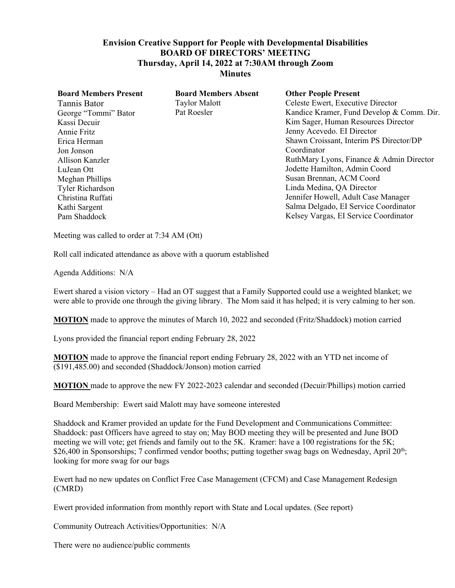## **Envision Creative Support for People with Developmental Disabilities BOARD OF DIRECTORS' MEETING Thursday, April 14, 2022 at 7:30AM through Zoom Minutes**

| <b>Board Members Present</b><br>Tannis Bator<br>George "Tommi" Bator<br>Kassi Decuir<br>Annie Fritz<br>Erica Herman<br>Jon Jonson<br>Allison Kanzler<br>LuJean Ott<br>Meghan Phillips<br><b>Tyler Richardson</b><br>Christina Ruffati<br>Kathi Sargent<br>Pam Shaddock | <b>Board Members Absent</b><br><b>Taylor Malott</b><br>Pat Roesler | <b>Other People Present</b><br>Celeste Ewert, Executive Director<br>Kandice Kramer, Fund Develop & Comm. Dir.<br>Kim Sager, Human Resources Director<br>Jenny Acevedo. EI Director<br>Shawn Croissant, Interim PS Director/DP<br>Coordinator<br>RuthMary Lyons, Finance & Admin Director<br>Jodette Hamilton, Admin Coord<br>Susan Brennan, ACM Coord<br>Linda Medina, QA Director<br>Jennifer Howell, Adult Case Manager<br>Salma Delgado, EI Service Coordinator<br>Kelsey Vargas, EI Service Coordinator |
|------------------------------------------------------------------------------------------------------------------------------------------------------------------------------------------------------------------------------------------------------------------------|--------------------------------------------------------------------|-------------------------------------------------------------------------------------------------------------------------------------------------------------------------------------------------------------------------------------------------------------------------------------------------------------------------------------------------------------------------------------------------------------------------------------------------------------------------------------------------------------|
|                                                                                                                                                                                                                                                                        |                                                                    |                                                                                                                                                                                                                                                                                                                                                                                                                                                                                                             |

Meeting was called to order at 7:34 AM (Ott)

Roll call indicated attendance as above with a quorum established

Agenda Additions: N/A

Ewert shared a vision victory – Had an OT suggest that a Family Supported could use a weighted blanket; we were able to provide one through the giving library. The Mom said it has helped; it is very calming to her son.

**MOTION** made to approve the minutes of March 10, 2022 and seconded (Fritz/Shaddock) motion carried

Lyons provided the financial report ending February 28, 2022

**MOTION** made to approve the financial report ending February 28, 2022 with an YTD net income of (\$191,485.00) and seconded (Shaddock/Jonson) motion carried

**MOTION** made to approve the new FY 2022-2023 calendar and seconded (Decuir/Phillips) motion carried

Board Membership: Ewert said Malott may have someone interested

Shaddock and Kramer provided an update for the Fund Development and Communications Committee: Shaddock: past Officers have agreed to stay on; May BOD meeting they will be presented and June BOD meeting we will vote; get friends and family out to the 5K. Kramer: have a 100 registrations for the 5K; \$26,400 in Sponsorships; 7 confirmed vendor booths; putting together swag bags on Wednesday, April 20<sup>th</sup>; looking for more swag for our bags

Ewert had no new updates on Conflict Free Case Management (CFCM) and Case Management Redesign (CMRD)

Ewert provided information from monthly report with State and Local updates. (See report)

Community Outreach Activities/Opportunities: N/A

There were no audience/public comments